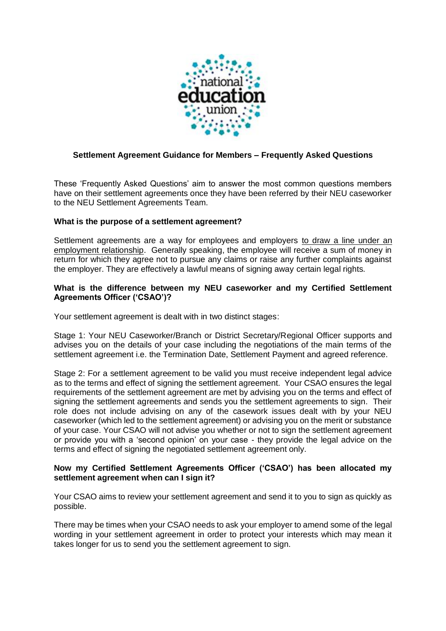

# **Settlement Agreement Guidance for Members – Frequently Asked Questions**

These 'Frequently Asked Questions' aim to answer the most common questions members have on their settlement agreements once they have been referred by their NEU caseworker to the NEU Settlement Agreements Team.

# **What is the purpose of a settlement agreement?**

Settlement agreements are a way for employees and employers to draw a line under an employment relationship. Generally speaking, the employee will receive a sum of money in return for which they agree not to pursue any claims or raise any further complaints against the employer. They are effectively a lawful means of signing away certain legal rights.

#### **What is the difference between my NEU caseworker and my Certified Settlement Agreements Officer ('CSAO')?**

Your settlement agreement is dealt with in two distinct stages:

Stage 1: Your NEU Caseworker/Branch or District Secretary/Regional Officer supports and advises you on the details of your case including the negotiations of the main terms of the settlement agreement i.e. the Termination Date, Settlement Payment and agreed reference.

Stage 2: For a settlement agreement to be valid you must receive independent legal advice as to the terms and effect of signing the settlement agreement. Your CSAO ensures the legal requirements of the settlement agreement are met by advising you on the terms and effect of signing the settlement agreements and sends you the settlement agreements to sign. Their role does not include advising on any of the casework issues dealt with by your NEU caseworker (which led to the settlement agreement) or advising you on the merit or substance of your case. Your CSAO will not advise you whether or not to sign the settlement agreement or provide you with a 'second opinion' on your case - they provide the legal advice on the terms and effect of signing the negotiated settlement agreement only.

## **Now my Certified Settlement Agreements Officer ('CSAO') has been allocated my settlement agreement when can I sign it?**

Your CSAO aims to review your settlement agreement and send it to you to sign as quickly as possible.

There may be times when your CSAO needs to ask your employer to amend some of the legal wording in your settlement agreement in order to protect your interests which may mean it takes longer for us to send you the settlement agreement to sign.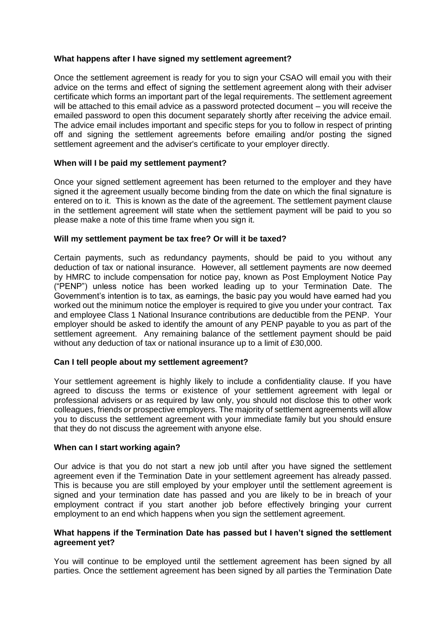## **What happens after I have signed my settlement agreement?**

Once the settlement agreement is ready for you to sign your CSAO will email you with their advice on the terms and effect of signing the settlement agreement along with their adviser certificate which forms an important part of the legal requirements. The settlement agreement will be attached to this email advice as a password protected document – you will receive the emailed password to open this document separately shortly after receiving the advice email. The advice email includes important and specific steps for you to follow in respect of printing off and signing the settlement agreements before emailing and/or posting the signed settlement agreement and the adviser's certificate to your employer directly.

# **When will I be paid my settlement payment?**

Once your signed settlement agreement has been returned to the employer and they have signed it the agreement usually become binding from the date on which the final signature is entered on to it. This is known as the date of the agreement. The settlement payment clause in the settlement agreement will state when the settlement payment will be paid to you so please make a note of this time frame when you sign it.

## **Will my settlement payment be tax free? Or will it be taxed?**

Certain payments, such as redundancy payments, should be paid to you without any deduction of tax or national insurance. However, all settlement payments are now deemed by HMRC to include compensation for notice pay, known as Post Employment Notice Pay ("PENP") unless notice has been worked leading up to your Termination Date. The Government's intention is to tax, as earnings, the basic pay you would have earned had you worked out the minimum notice the employer is required to give you under your contract. Tax and employee Class 1 National Insurance contributions are deductible from the PENP. Your employer should be asked to identify the amount of any PENP payable to you as part of the settlement agreement. Any remaining balance of the settlement payment should be paid without any deduction of tax or national insurance up to a limit of £30,000.

# **Can I tell people about my settlement agreement?**

Your settlement agreement is highly likely to include a confidentiality clause. If you have agreed to discuss the terms or existence of your settlement agreement with legal or professional advisers or as required by law only, you should not disclose this to other work colleagues, friends or prospective employers. The majority of settlement agreements will allow you to discuss the settlement agreement with your immediate family but you should ensure that they do not discuss the agreement with anyone else.

#### **When can I start working again?**

Our advice is that you do not start a new job until after you have signed the settlement agreement even if the Termination Date in your settlement agreement has already passed. This is because you are still employed by your employer until the settlement agreement is signed and your termination date has passed and you are likely to be in breach of your employment contract if you start another job before effectively bringing your current employment to an end which happens when you sign the settlement agreement.

## **What happens if the Termination Date has passed but I haven't signed the settlement agreement yet?**

You will continue to be employed until the settlement agreement has been signed by all parties. Once the settlement agreement has been signed by all parties the Termination Date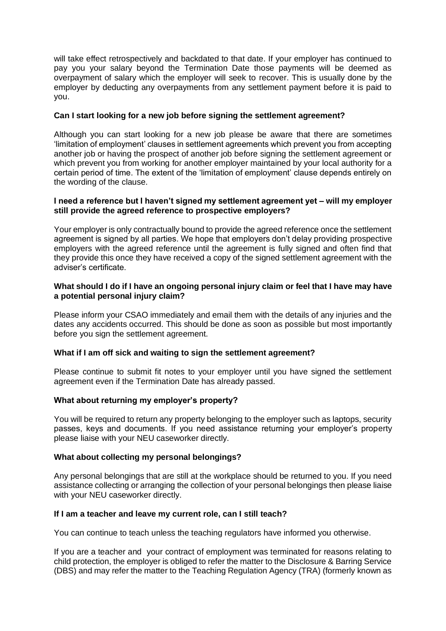will take effect retrospectively and backdated to that date. If your employer has continued to pay you your salary beyond the Termination Date those payments will be deemed as overpayment of salary which the employer will seek to recover. This is usually done by the employer by deducting any overpayments from any settlement payment before it is paid to you.

## **Can I start looking for a new job before signing the settlement agreement?**

Although you can start looking for a new job please be aware that there are sometimes 'limitation of employment' clauses in settlement agreements which prevent you from accepting another job or having the prospect of another job before signing the settlement agreement or which prevent you from working for another employer maintained by your local authority for a certain period of time. The extent of the 'limitation of employment' clause depends entirely on the wording of the clause.

### **I need a reference but I haven't signed my settlement agreement yet – will my employer still provide the agreed reference to prospective employers?**

Your employer is only contractually bound to provide the agreed reference once the settlement agreement is signed by all parties. We hope that employers don't delay providing prospective employers with the agreed reference until the agreement is fully signed and often find that they provide this once they have received a copy of the signed settlement agreement with the adviser's certificate.

## **What should I do if I have an ongoing personal injury claim or feel that I have may have a potential personal injury claim?**

Please inform your CSAO immediately and email them with the details of any injuries and the dates any accidents occurred. This should be done as soon as possible but most importantly before you sign the settlement agreement.

# **What if I am off sick and waiting to sign the settlement agreement?**

Please continue to submit fit notes to your employer until you have signed the settlement agreement even if the Termination Date has already passed.

#### **What about returning my employer's property?**

You will be required to return any property belonging to the employer such as laptops, security passes, keys and documents. If you need assistance returning your employer's property please liaise with your NEU caseworker directly.

# **What about collecting my personal belongings?**

Any personal belongings that are still at the workplace should be returned to you. If you need assistance collecting or arranging the collection of your personal belongings then please liaise with your NEU caseworker directly.

#### **If I am a teacher and leave my current role, can I still teach?**

You can continue to teach unless the teaching regulators have informed you otherwise.

If you are a teacher and your contract of employment was terminated for reasons relating to child protection, the employer is obliged to refer the matter to the Disclosure & Barring Service (DBS) and may refer the matter to the Teaching Regulation Agency (TRA) (formerly known as